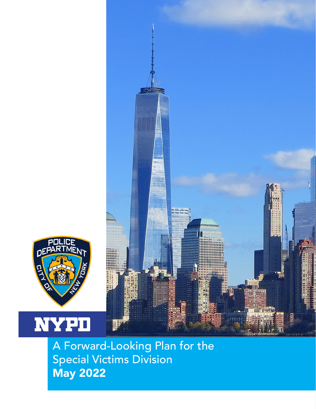



DEP

**NYPD**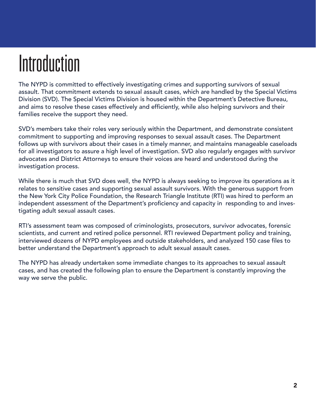# **Introduction**

The NYPD is committed to effectively investigating crimes and supporting survivors of sexual assault. That commitment extends to sexual assault cases, which are handled by the Special Victims Division (SVD). The Special Victims Division is housed within the Department's Detective Bureau, and aims to resolve these cases effectively and efficiently, while also helping survivors and their families receive the support they need.

SVD's members take their roles very seriously within the Department, and demonstrate consistent commitment to supporting and improving responses to sexual assault cases. The Department follows up with survivors about their cases in a timely manner, and maintains manageable caseloads for all investigators to assure a high level of investigation. SVD also regularly engages with survivor advocates and District Attorneys to ensure their voices are heard and understood during the investigation process.

While there is much that SVD does well, the NYPD is always seeking to improve its operations as it relates to sensitive cases and supporting sexual assault survivors. With the generous support from the New York City Police Foundation, the Research Triangle Institute (RTI) was hired to perform an independent assessment of the Department's proficiency and capacity in responding to and investigating adult sexual assault cases.

RTI's assessment team was composed of criminologists, prosecutors, survivor advocates, forensic scientists, and current and retired police personnel. RTI reviewed Department policy and training, interviewed dozens of NYPD employees and outside stakeholders, and analyzed 150 case files to better understand the Department's approach to adult sexual assault cases.

The NYPD has already undertaken some immediate changes to its approaches to sexual assault cases, and has created the following plan to ensure the Department is constantly improving the way we serve the public.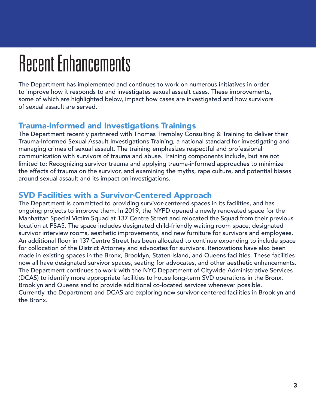# Recent Enhancements

The Department has implemented and continues to work on numerous initiatives in order to improve how it responds to and investigates sexual assault cases. These improvements, some of which are highlighted below, impact how cases are investigated and how survivors of sexual assault are served.

# Trauma-Informed and Investigations Trainings

The Department recently partnered with Thomas Tremblay Consulting & Training to deliver their Trauma-Informed Sexual Assault Investigations Training, a national standard for investigating and managing crimes of sexual assault. The training emphasizes respectful and professional communication with survivors of trauma and abuse. Training components include, but are not limited to: Recognizing survivor trauma and applying trauma-informed approaches to minimize the effects of trauma on the survivor, and examining the myths, rape culture, and potential biases around sexual assault and its impact on investigations.

# SVD Facilities with a Survivor-Centered Approach

The Department is committed to providing survivor-centered spaces in its facilities, and has ongoing projects to improve them. In 2019, the NYPD opened a newly renovated space for the Manhattan Special Victim Squad at 137 Centre Street and relocated the Squad from their previous location at PSA5. The space includes designated child-friendly waiting room space, designated survivor interview rooms, aesthetic improvements, and new furniture for survivors and employees. An additional floor in 137 Centre Street has been allocated to continue expanding to include space for collocation of the District Attorney and advocates for survivors. Renovations have also been made in existing spaces in the Bronx, Brooklyn, Staten Island, and Queens facilities. These facilities now all have designated survivor spaces, seating for advocates, and other aesthetic enhancements. The Department continues to work with the NYC Department of Citywide Administrative Services (DCAS) to identify more appropriate facilities to house long-term SVD operations in the Bronx, Brooklyn and Queens and to provide additional co-located services whenever possible. Currently, the Department and DCAS are exploring new survivor-centered facilities in Brooklyn and the Bronx.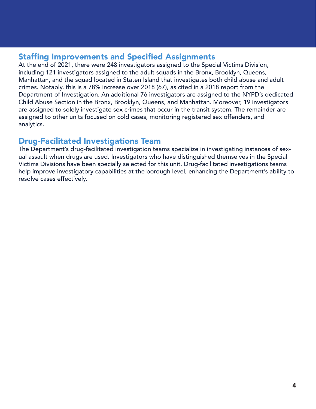# Staffing Improvements and Specified Assignments

At the end of 2021, there were 248 investigators assigned to the Special Victims Division, including 121 investigators assigned to the adult squads in the Bronx, Brooklyn, Queens, Manhattan, and the squad located in Staten Island that investigates both child abuse and adult crimes. Notably, this is a 78% increase over 2018 (67), as cited in a 2018 report from the Department of Investigation. An additional 76 investigators are assigned to the NYPD's dedicated Child Abuse Section in the Bronx, Brooklyn, Queens, and Manhattan. Moreover, 19 investigators are assigned to solely investigate sex crimes that occur in the transit system. The remainder are assigned to other units focused on cold cases, monitoring registered sex offenders, and analytics.

# Drug-Facilitated Investigations Team

The Department's drug-facilitated investigation teams specialize in investigating instances of sexual assault when drugs are used. Investigators who have distinguished themselves in the Special Victims Divisions have been specially selected for this unit. Drug-facilitated investigations teams help improve investigatory capabilities at the borough level, enhancing the Department's ability to resolve cases effectively.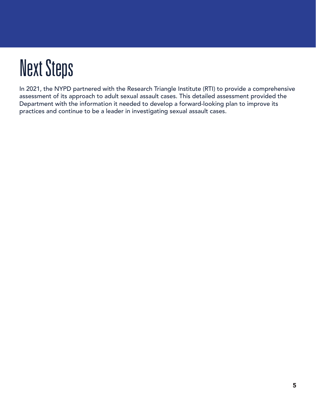# Next Steps

In 2021, the NYPD partnered with the Research Triangle Institute (RTI) to provide a comprehensive assessment of its approach to adult sexual assault cases. This detailed assessment provided the Department with the information it needed to develop a forward-looking plan to improve its practices and continue to be a leader in investigating sexual assault cases.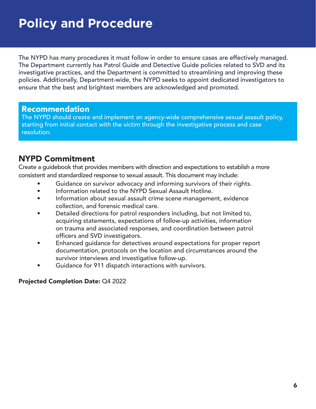# **Policy and Procedure**

The NYPD has many procedures it must follow in order to ensure cases are effectively managed. The Department currently has Patrol Guide and Detective Guide policies related to SVD and its investigative practices, and the Department is committed to streamlining and improving these policies. Additionally, Department-wide, the NYPD seeks to appoint dedicated investigators to ensure that the best and brightest members are acknowledged and promoted.

#### **Recommendation**

The NYPD should create and implement an agency-wide comprehensive sexual assault policy, starting from initial contact with the victim through the investigative process and case resolution.

# NYPD Commitment

Create a guidebook that provides members with direction and expectations to establish a more consistent and standardized response to sexual assault. This document may include:

- Guidance on survivor advocacy and informing survivors of their rights.
- Information related to the NYPD Sexual Assault Hotline.
- Information about sexual assault crime scene management, evidence collection, and forensic medical care.
- Detailed directions for patrol responders including, but not limited to, acquiring statements, expectations of follow-up activities, information on trauma and associated responses, and coordination between patrol officers and SVD investigators.
- Enhanced guidance for detectives around expectations for proper report documentation, protocols on the location and circumstances around the survivor interviews and investigative follow-up.
- Guidance for 911 dispatch interactions with survivors.

#### Projected Completion Date: Q4 2022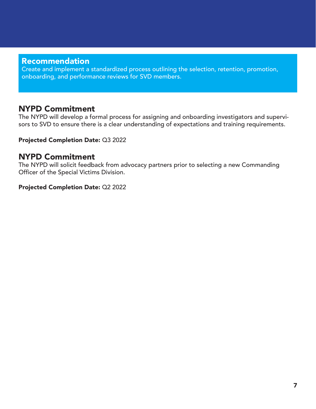Create and implement a standardized process outlining the selection, retention, promotion, onboarding, and performance reviews for SVD members.

## NYPD Commitment

The NYPD will develop a formal process for assigning and onboarding investigators and supervisors to SVD to ensure there is a clear understanding of expectations and training requirements.

#### Projected Completion Date: Q3 2022

## NYPD Commitment

The NYPD will solicit feedback from advocacy partners prior to selecting a new Commanding Officer of the Special Victims Division.

#### Projected Completion Date: Q2 2022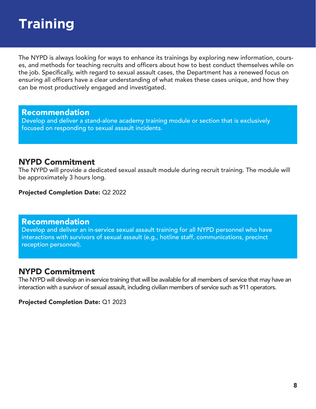# **Training**

The NYPD is always looking for ways to enhance its trainings by exploring new information, courses, and methods for teaching recruits and officers about how to best conduct themselves while on the job. Specifically, with regard to sexual assault cases, the Department has a renewed focus on ensuring all officers have a clear understanding of what makes these cases unique, and how they can be most productively engaged and investigated.

#### Recommendation

Develop and deliver a stand-alone academy training module or section that is exclusively focused on responding to sexual assault incidents.

# NYPD Commitment

The NYPD will provide a dedicated sexual assault module during recruit training. The module will be approximately 3 hours long.

Projected Completion Date: Q2 2022

#### Recommendation

Develop and deliver an in-service sexual assault training for all NYPD personnel who have interactions with survivors of sexual assault (e.g., hotline staff, communications, precinct reception personnel).

# NYPD Commitment

The NYPD will develop an in-service training that will be available for all members of service that may have an interaction with a survivor of sexual assault, including civilian members of service such as 911 operators.

#### Projected Completion Date: Q1 2023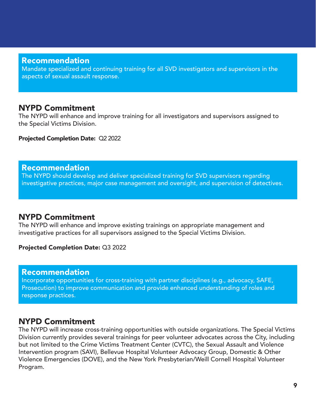Mandate specialized and continuing training for all SVD investigators and supervisors in the aspects of sexual assault response.

## NYPD Commitment

The NYPD will enhance and improve training for all investigators and supervisors assigned to the Special Victims Division.

Projected Completion Date: Q2 2022

#### Recommendation

The NYPD should develop and deliver specialized training for SVD supervisors regarding investigative practices, major case management and oversight, and supervision of detectives.

### NYPD Commitment

The NYPD will enhance and improve existing trainings on appropriate management and investigative practices for all supervisors assigned to the Special Victims Division.

#### Projected Completion Date: Q3 2022

#### Recommendation

Incorporate opportunities for cross-training with partner disciplines (e.g., advocacy, SAFE, Prosecution) to improve communication and provide enhanced understanding of roles and response practices.

### NYPD Commitment

The NYPD will increase cross-training opportunities with outside organizations. The Special Victims Division currently provides several trainings for peer volunteer advocates across the City, including but not limited to the Crime Victims Treatment Center (CVTC), the Sexual Assault and Violence Intervention program (SAVI), Bellevue Hospital Volunteer Advocacy Group, Domestic & Other Violence Emergencies (DOVE), and the New York Presbyterian/Weill Cornell Hospital Volunteer Program.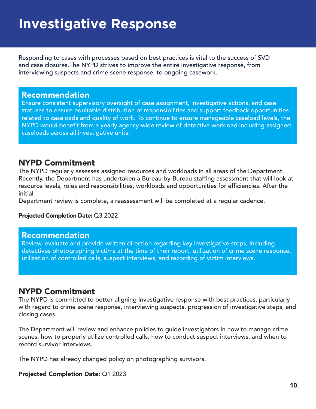# **Investigative Response**

Responding to cases with processes based on best practices is vital to the success of SVD and case closures.The NYPD strives to improve the entire investigative response, from interviewing suspects and crime scene response, to ongoing casework.

#### Recommendation

Ensure consistent supervisory oversight of case assignment, investigative actions, and case statuses to ensure equitable distribution of responsibilities and support feedback opportunities related to caseloads and quality of work. To continue to ensure manageable caseload levels, the NYPD would benefit from a yearly agency-wide review of detective workload including assigned caseloads across all investigative units.

# NYPD Commitment

The NYPD regularly assesses assigned resources and workloads in all areas of the Department. Recently, the Department has undertaken a Bureau-by-Bureau staffing assessment that will look at resource levels, roles and responsibilities, workloads and opportunities for efficiencies. After the initial

Department review is complete, a reassessment will be completed at a regular cadence.

#### Projected Completion Date: Q3 2022

#### Recommendation

Review, evaluate and provide written direction regarding key investigative steps, including detectives photographing victims at the time of their report, utilization of crime scene response, utilization of controlled calls, suspect interviews, and recording of victim interviews.

# NYPD Commitment

The NYPD is committed to better aligning investigative response with best practices, particularly with regard to crime scene response, interviewing suspects, progression of investigative steps, and closing cases.

The Department will review and enhance policies to guide investigators in how to manage crime scenes, how to properly utilize controlled calls, how to conduct suspect interviews, and when to record survivor interviews.

The NYPD has already changed policy on photographing survivors.

#### Projected Completion Date: Q1 2023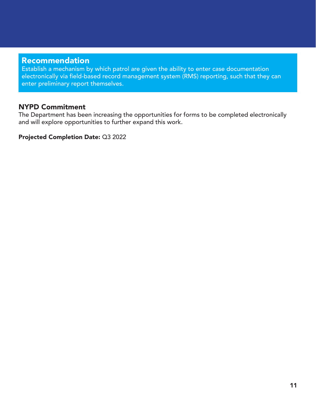Establish a mechanism by which patrol are given the ability to enter case documentation electronically via field-based record management system (RMS) reporting, such that they can enter preliminary report themselves.

#### NYPD Commitment

The Department has been increasing the opportunities for forms to be completed electronically and will explore opportunities to further expand this work.

Projected Completion Date: Q3 2022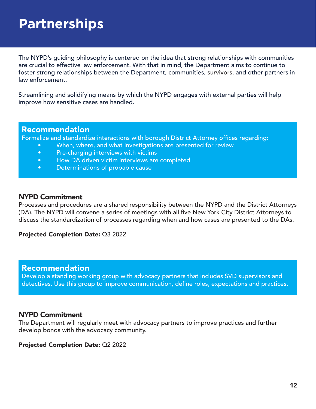# **Partnerships**

The NYPD's guiding philosophy is centered on the idea that strong relationships with communities are crucial to effective law enforcement. With that in mind, the Department aims to continue to foster strong relationships between the Department, communities, survivors, and other partners in law enforcement.

Streamlining and solidifying means by which the NYPD engages with external parties will help improve how sensitive cases are handled.

#### Recommendation

Formalize and standardize interactions with borough District Attorney offices regarding:

- When, where, and what investigations are presented for review
- Pre-charging interviews with victims
- How DA driven victim interviews are completed
- Determinations of probable cause

#### NYPD Commitment

Processes and procedures are a shared responsibility between the NYPD and the District Attorneys (DA). The NYPD will convene a series of meetings with all five New York City District Attorneys to discuss the standardization of processes regarding when and how cases are presented to the DAs.

Projected Completion Date: Q3 2022

#### Recommendation

Develop a standing working group with advocacy partners that includes SVD supervisors and detectives. Use this group to improve communication, define roles, expectations and practices.

#### NYPD Commitment

The Department will regularly meet with advocacy partners to improve practices and further develop bonds with the advocacy community.

Projected Completion Date: Q2 2022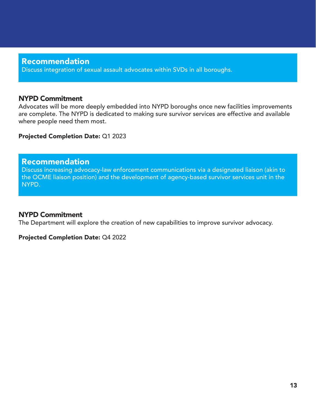Discuss integration of sexual assault advocates within SVDs in all boroughs.

#### NYPD Commitment

Advocates will be more deeply embedded into NYPD boroughs once new facilities improvements are complete. The NYPD is dedicated to making sure survivor services are effective and available where people need them most.

#### Projected Completion Date: Q1 2023

#### Recommendation

Discuss increasing advocacy-law enforcement communications via a designated liaison (akin to the OCME liaison position) and the development of agency-based survivor services unit in the NYPD.

#### NYPD Commitment

The Department will explore the creation of new capabilities to improve survivor advocacy.

#### Projected Completion Date: Q4 2022